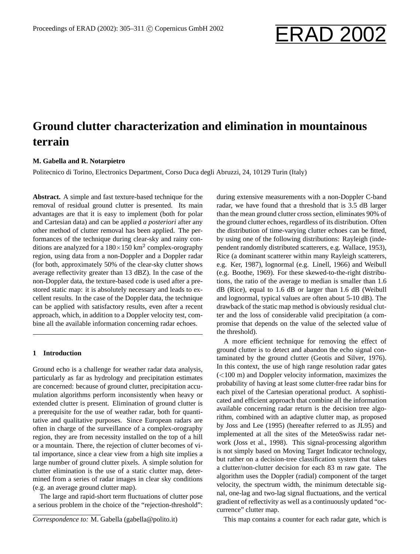# Proceedings of ERAD (2002): 305–311 © Copernicus GmbH 2002 <br>
ERAD 2002

# **Ground clutter characterization and elimination in mountainous terrain**

# **M. Gabella and R. Notarpietro**

Politecnico di Torino, Electronics Department, Corso Duca degli Abruzzi, 24, 10129 Turin (Italy)

**Abstract.** A simple and fast texture-based technique for the removal of residual ground clutter is presented. Its main advantages are that it is easy to implement (both for polar and Cartesian data) and can be applied *a posteriori* after any other method of clutter removal has been applied. The performances of the technique during clear-sky and rainy conditions are analyzed for a  $180\times150$  km<sup>2</sup> complex-orography region, using data from a non-Doppler and a Doppler radar (for both, approximately 50% of the clear-sky clutter shows average reflectivity greater than 13 dBZ). In the case of the non-Doppler data, the texture-based code is used after a prestored static map: it is absolutely necessary and leads to excellent results. In the case of the Doppler data, the technique can be applied with satisfactory results, even after a recent approach, which, in addition to a Doppler velocity test, combine all the available information concerning radar echoes.

## **1 Introduction**

Ground echo is a challenge for weather radar data analysis, particularly as far as hydrology and precipitation estimates are concerned: because of ground clutter, precipitation accumulation algorithms perform inconsistently when heavy or extended clutter is present. Elimination of ground clutter is a prerequisite for the use of weather radar, both for quantitative and qualitative purposes. Since European radars are often in charge of the surveillance of a complex-orography region, they are from necessity installed on the top of a hill or a mountain. There, the rejection of clutter becomes of vital importance, since a clear view from a high site implies a large number of ground clutter pixels. A simple solution for clutter elimination is the use of a static clutter map, determined from a series of radar images in clear sky conditions (e.g. an average ground clutter map).

The large and rapid-short term fluctuations of clutter pose a serious problem in the choice of the "rejection-threshold":

*Correspondence to:* M. Gabella (gabella@polito.it)

during extensive measurements with a non-Doppler C-band radar, we have found that a threshold that is 3.5 dB larger than the mean ground clutter cross section, eliminates 90% of the ground clutter echoes, regardless of its distribution. Often the distribution of time-varying clutter echoes can be fitted, by using one of the following distributions: Rayleigh (independent randomly distributed scatterers, e.g. Wallace, 1953), Rice (a dominant scatterer within many Rayleigh scatterers, e.g. Ker, 1987), lognormal (e.g. Linell, 1966) and Weibull (e.g. Boothe, 1969). For these skewed-to-the-right distributions, the ratio of the average to median is smaller than 1.6 dB (Rice), equal to 1.6 dB or larger than 1.6 dB (Weibull and lognormal, typical values are often about 5-10 dB). The drawback of the static map method is obviously residual clutter and the loss of considerable valid precipitation (a compromise that depends on the value of the selected value of the threshold).

A more efficient technique for removing the effect of ground clutter is to detect and abandon the echo signal contaminated by the ground clutter (Geotis and Silver, 1976). In this context, the use of high range resolution radar gates (<100 m) and Doppler velocity information, maximizes the probability of having at least some clutter-free radar bins for each pixel of the Cartesian operational product. A sophisticated and efficient approach that combine all the information available concerning radar return is the decision tree algorithm, combined with an adaptive clutter map, as proposed by Joss and Lee (1995) (hereafter referred to as JL95) and implemented at all the sites of the MeteoSwiss radar network (Joss et al., 1998). This signal-processing algorithm is not simply based on Moving Target Indicator technology, but rather on a decision-tree classification system that takes a clutter/non-clutter decision for each 83 m raw gate. The algorithm uses the Doppler (radial) component of the target velocity, the spectrum width, the minimum detectable signal, one-lag and two-lag signal fluctuations, and the vertical gradient of reflectivity as well as a continuously updated "occurrence" clutter map.

This map contains a counter for each radar gate, which is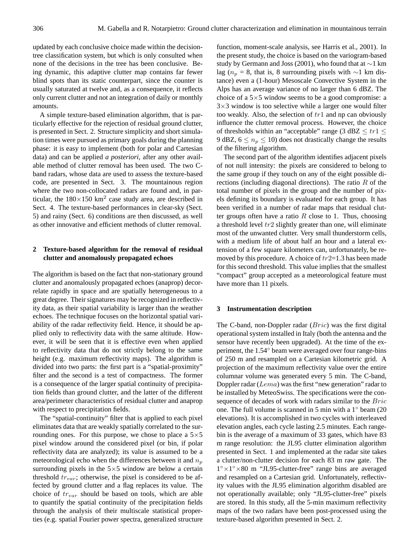updated by each conclusive choice made within the decisiontree classification system, but which is only consulted when none of the decisions in the tree has been conclusive. Being dynamic, this adaptive clutter map contains far fewer blind spots than its static counterpart, since the counter is usually saturated at twelve and, as a consequence, it reflects only current clutter and not an integration of daily or monthly amounts.

A simple texture-based elimination algorithm, that is particularly effective for the rejection of residual ground clutter, is presented in Sect. 2. Structure simplicity and short simulation times were pursued as primary goals during the planning phase: it is easy to implement (both for polar and Cartesian data) and can be applied *a posteriori*, after any other available method of clutter removal has been used. The two Cband radars, whose data are used to assess the texture-based code, are presented in Sect. 3. The mountainous region where the two non-collocated radars are found and, in particular, the  $180 \times 150$  km<sup>2</sup> case study area, are described in Sect. 4. The texture-based performances in clear-sky (Sect. 5) and rainy (Sect. 6) conditions are then discussed, as well as other innovative and efficient methods of clutter removal.

# **2 Texture-based algorithm for the removal of residual clutter and anomalously propagated echoes**

The algorithm is based on the fact that non-stationary ground clutter and anomalously propagated echoes (anaprop) decorrelate rapidly in space and are spatially heterogeneous to a great degree. Their signatures may be recognized in reflectivity data, as their spatial variability is larger than the weather echoes. The technique focuses on the horizontal spatial variability of the radar reflectivity field. Hence, it should be applied only to reflectivity data with the same altitude. However, it will be seen that it is effective even when applied to reflectivity data that do not strictly belong to the same height (e.g. maximum reflectivity maps). The algorithm is divided into two parts: the first part is a "spatial-proximity" filter and the second is a test of compactness. The former is a consequence of the larger spatial continuity of precipitation fields than ground clutter, and the latter of the different area/perimeter characteristics of residual clutter and anaprop with respect to precipitation fields.

The "spatial-continuity" filter that is applied to each pixel eliminates data that are weakly spatially correlated to the surrounding ones. For this purpose, we chose to place a  $5\times 5$ pixel window around the considered pixel (or bin, if polar reflectivity data are analyzed); its value is assumed to be a meteorological echo when the differences between it and  $n_p$ surrounding pixels in the  $5\times 5$  window are below a certain threshold  $tr_{var}$ ; otherwise, the pixel is considered to be affected by ground clutter and a flag replaces its value. The choice of  $tr_{var}$  should be based on tools, which are able to quantify the spatial continuity of the precipitation fields through the analysis of their multiscale statistical properties (e.g. spatial Fourier power spectra, generalized structure function, moment-scale analysis, see Harris et al., 2001). In the present study, the choice is based on the variogram-based study by Germann and Joss (2001), who found that at ∼1 km lag ( $n_p = 8$ , that is, 8 surrounding pixels with ∼1 km distance) even a (1-hour) Mesoscale Convective System in the Alps has an average variance of no larger than 6 dBZ. The choice of a  $5\times 5$  window seems to be a good compromise: a  $3\times3$  window is too selective while a larger one would filter too weakly. Also, the selection of  $tr1$  and np can obviously influence the clutter removal process. However, the choice of thresholds within an "acceptable" range (3 dBZ  $\leq tr1 \leq$ 9 dBZ,  $6 \le n_p \le 10$ ) does not drastically change the results of the filtering algorithm.

The second part of the algorithm identifies adjacent pixels of not null intensity: the pixels are considered to belong to the same group if they touch on any of the eight possible directions (including diagonal directions). The ratio  $R$  of the total number of pixels in the group and the number of pixels defining its boundary is evaluated for each group. It has been verified in a number of radar maps that residual clutter groups often have a ratio  $R$  close to 1. Thus, choosing a threshold level  $tr2$  slightly greater than one, will eliminate most of the unwanted clutter. Very small thunderstorm cells, with a medium life of about half an hour and a lateral extension of a few square kilometers can, unfortunately, be removed by this procedure. A choice of  $tr2=1.3$  has been made for this second threshold. This value implies that the smallest "compact" group accepted as a meteorological feature must have more than 11 pixels.

#### **3 Instrumentation description**

The C-band, non-Doppler radar (Bric) was the first digital operational system installed in Italy (both the antenna and the sensor have recently been upgraded). At the time of the experiment, the 1.54◦ beam were averaged over four range-bins of 250 m and resampled on a Cartesian kilometric grid. A projection of the maximum reflectivity value over the entire columnar volume was generated every 5 min. The C-band, Doppler radar (Lema) was the first "new generation" radar to be installed by MeteoSwiss. The specifications were the consequence of decades of work with radars similar to the Bric one. The full volume is scanned in 5 min with a 1◦ beam (20 elevations). It is accomplished in two cycles with interleaved elevation angles, each cycle lasting 2.5 minutes. Each rangebin is the average of a maximum of 33 gates, which have 83 m range resolution: the JL95 clutter elimination algorithm presented in Sect. 1 and implemented at the radar site takes a clutter/non-clutter decision for each 83 m raw gate. The 1 ◦×1 ◦×80 m "JL95-clutter-free" range bins are averaged and resampled on a Cartesian grid. Unfortunately, reflectivity values with the JL95 elimination algorithm disabled are not operationally available; only "JL95-clutter-free" pixels are stored. In this study, all the 5-min maximum reflectivity maps of the two radars have been post-processed using the texture-based algorithm presented in Sect. 2.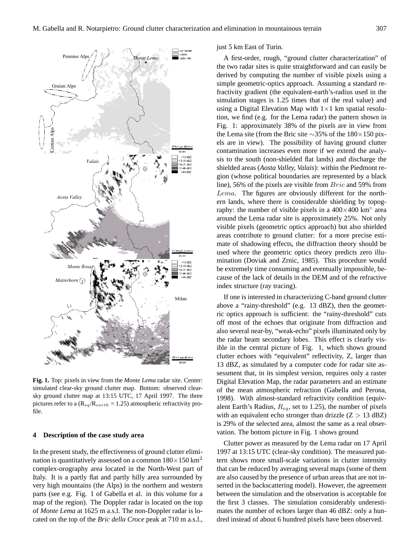

Fig. 1. Top: pixels in view from the *Monte Lema* radar site. Center: ground clutter map at 1315 UTC 17 April 1997. The three pictures refer to the three pictures refer to the three pictures refer to the three pictures refer to the three pictures refer to the three pictures refer to the thre simulated clear-sky ground clutter map. Bottom: observed clearpictures refer to a ( $\mathbf{R}_{eq}/\mathbf{R}_{earth} = 1.25$ ) atmospheric refractivity prosky ground clutter map at 13:15 UTC, 17 April 1997. The three file.

#### $\mathbf{r}$  is a better averaging several maps see a veral maps several maps several maps see a veral maps see a veral maps see a veral maps see a veral maps see a veral maps see a veral maps see a veral maps see a veral map **4 Description of the case study area**

In the present study, the effectiveness of ground clutter elimination is quantitatively assessed on a common  $180\times150$  km<sup>2</sup> complex-orography area located in the North-West part of Italy. It is a partly flat and partly hilly area surrounded by very high mountains (the Alps) in the northern and western parts (see e.g. Fig. 1 of Gabella et al. in this volume for a map of the region). The Doppler radar is located on the top of *Monte Lema* at 1625 m a.s.l. The non-Doppler radar is located on the top of the *Bric della Croce* peak at 710 m a.s.l.,

#### just 5 km East of Turin.

A first-order, rough, "ground clutter characterization" of the two radar sites is quite straightforward and can easily be derived by computing the number of visible pixels using a simple geometric-optics approach. Assuming a standard refractivity gradient (the equivalent-earth's-radius used in the simulation stages is 1.25 times that of the real value) and using a Digital Elevation Map with  $1 \times 1$  km spatial resolution, we find (e.g. for the Lema radar) the pattern shown in Fig. 1: approximately 38% of the pixels are in view from the Lema site (from the Bric site ∼35% of the 180×150 pixels are in view). The possibility of having ground clutter contamination increases even more if we extend the analysis to the south (non-shielded flat lands) and discharge the shielded areas (*Aosta Valley, Valais*): within the Piedmont region (whose political boundaries are represented by a black line), 56% of the pixels are visible from Bric and 59% from Lema. The figures are obviously different for the northern lands, where there is considerable shielding by topography: the number of visible pixels in a  $400\times400$  km $^{\circ}$  area around the Lema radar site is approximately 25%. Not only visible pixels (geometric optics approach) but also shielded areas contribute to ground clutter: for a more precise estimate of shadowing effects, the diffraction theory should be used where the geometric optics theory predicts zero illumination (Doviak and Zrnic, 1985). This procedure would be extremely time consuming and eventually impossible, because of the lack of details in the DEM and of the refractive index structure (ray tracing).

If one is interested in characterizing C-band ground clutter above a "rainy-threshold" (e.g. 13 dBZ), then the geometric optics approach is sufficient: the "rainy-threshold" cuts off most of the echoes that originate from diffraction and also several near-by, "weak-echo" pixels illuminated only by the radar beam secondary lobes. This effect is clearly visible in the central picture of Fig. 1, which shows ground clutter echoes with "equivalent" reflectivity, Z, larger than 13 dBZ, as simulated by a computer code for radar site assessment that, in its simplest version, requires only a raster Digital Elevation Map, the radar parameters and an estimate of the mean atmospheric refraction (Gabella and Perona, 1998). With almost-standard refractivity condition (equivalent Earth's Radius,  $R_{eq}$ , set to 1.25), the number of pixels with an equivalent echo stronger than drizzle  $(Z > 13$  dBZ) is 29% of the selected area, almost the same as a real observation. The bottom picture in Fig. 1 shows ground

Clutter power as measured by the Lema radar on 17 April 1997 at 13:15 UTC (clear-sky condition). The measured pattern shows more small-scale variations in clutter intensity that can be reduced by averaging several maps (some of them are also caused by the presence of urban areas that are not inserted in the backscattering model). However, the agreement between the simulation and the observation is acceptable for the first 3 classes. The simulation considerably underestimates the number of echoes larger than 46 dBZ: only a hundred instead of about 6 hundred pixels have been observed.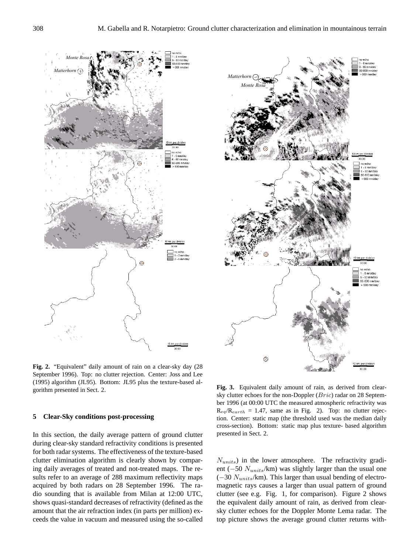ø



Fig. 2. "Equivalent" daily amount of rain on a clear-sky day (28 gorithm presented in Sect. 2. September 1996). Top: no clutter rejection. Center: Joss and Lee (1995) algorithm (JL95). Bottom: JL95 plus the texture-based al-

#### 5 Clear-Sky conditions post-processing elimination **greater** than **1 mm/day greater** than **600 mm/day**

In this section, the daily average pattern of ground clutter None 48% 50% 9.0% 2.3% Operational 38% 39% 3.3% 0.01% during clear-sky standard refractivity conditions is presented for both radar systems. The effectiveness of the texture-based **EXECUTE TEXTURE 148 ORDER IN CONTRACT ON PIXEL CONTRACT AND CONTRACT CONTRACT CONTRACT CONTRACT CONTRACT CONTRACT CONTRACT CONTRACT CONTRACT CONTRACT CONTRACT CONTRACT CONTRACT CONTRACT CONTRACT CONTRACT CONTRACT CONTRACT** ing daily averages of treated and not-treated maps. The results refer to an average of 288 maximum reflectivity maps acquired by both radars on 28 September 1996. The radio sounding that is available from Milan at 12:00 UTC, shows quasi-standard decreases of refractivity (defined as the amount that the air refraction index (in parts per million) exceeds the value in vacuum and measured using the so-called

Fig. 3. Equivalent daily amount of rain, as derived from clear- $\frac{1}{2}$  Unit of the measured atmospheric reduced atmospheric reduced atmospheric reduced  $\frac{1}{2}$ . sky clutter echoes for the non-Doppler ( $Bric$ ) radar on 28 September 1996 (at 00:00 UTC the measured atmospheric refractivity was  $R_{eq}/R_{earth} = 1.47$ , same as in Fig. 2). Top: no clutter rejeccross-section). Bottom: static map plus texture- based algorithm presented in Sect. 2. tion. Center: static map (the threshold used was the median daily

 $N_{units}$ ) in the lower atmosphere. The refractivity gradi- $\epsilon$  (50  $N = \text{Im}$ ) we cliently legen than the word of ent (−50  $N_{units}/km$ ) was slightly larger than the usual one  $(-30 N_{units}/km)$ . This larger than usual bending of electromagnetic rays causes a larger than usual pattern of ground clutter (see e.g. Fig. 1, for comparison). Figure 2 shows the equivalent daily amount of rain, as derived from clearsky clutter echoes for the Doppler Monte Lema radar. The top picture shows the average ground clutter returns with-

*Monte Ros* 

*Matterhorn*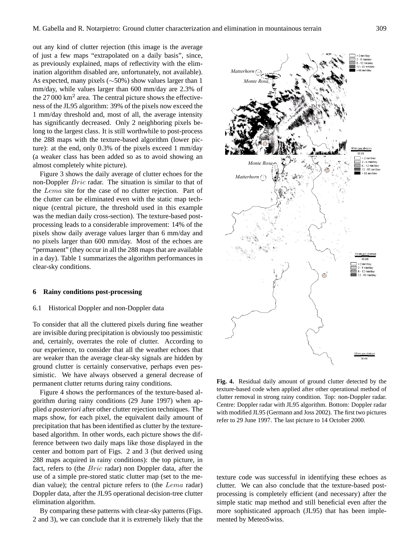out any kind of clutter rejection (this image is the average of just a few maps "extrapolated on a daily basis", since, as previously explained, maps of reflectivity with the elimination algorithm disabled are, unfortunately, not available). *Matterhorn Matterhorn*  As expected, many pixels ( $\sim$ 50%) show values larger than 1 *Monte Rosa* mm/day, while values larger than 600 mm/day are 2.3% of the  $27000 \text{ km}^2$  area. The central picture shows the effectiveness of the JL95 algorithm: 39% of the pixels now exceed the 1 mm/day threshold and, most of all, the average intensity has significantly decreased. Only 2 neighboring pixels belong to the largest class. It is still worthwhile to post-process the 288 maps with the texture-based algorithm (lower picture): at the end, only 0.3% of the pixels exceed 1 mm/day (a weaker class has been added so as to avoid showing an almost completely white picture).

Figure 3 shows the daily average of clutter echoes for the non-Doppler Bric radar. The situation is similar to that of the Lema site for the case of no clutter rejection. Part of the clutter can be eliminated even with the static map technique (central picture, the threshold used in this example was the median daily cross-section). The texture-based postprocessing leads to a considerable improvement: 14% of the pixels show daily average values larger than 6 mm/day and no pixels larger than 600 mm/day. Most of the echoes are "permanent" (they occur in all the 288 maps that are available in a day). Table 1 summarizes the algorithm performances in clear-sky conditions.

#### **6 Rainy conditions post-processing**

### 6.1 Historical Doppler and non-Doppler data

To consider that all the cluttered pixels during fine weather are invisible during precipitation is obviously too pessimistic and, certainly, overrates the role of clutter. According to our experience, to consider that all the weather echoes that are weaker than the average clear-sky signals are hidden by ground clutter is certainly conservative, perhaps even pessimistic. We have always observed a general decrease of permanent clutter returns during rainy conditions.

Figure 4 shows the performances of the texture-based algorithm during rainy conditions (29 June 1997) when applied *a posteriori* after other clutter rejection techniques. The maps show, for each pixel, the equivalent daily amount of precipitation that has been identified as clutter by the texturebased algorithm. In other words, each picture shows the dif-Ference between two daily maps like those displayed in the center and bottom part of Figs. 2 and 3 (but derived using 288 maps acquired in rainy conditions): the top picture, in fact, refers to (the  $Bric$  radar) non Doppler data, after the use of a simple pre-stored static clutter map (set to the median value); the central picture refers to (the Lema radar) Doppler data, after the JL95 operational decision-tree clutter elimination algorithm. e 4 shows the performances of the texture-based al- $\epsilon$ ween two darly maps the mose displayed in the average clear-sky

By comparing these patterns with clear-sky patterns (Figs. 2 and 3), we can conclude that it is extremely likely that the



*Monte Rosa* 

*Matterhorn* 

texture-based code when applied after other operational method of with discussion with applied after other operational method clutter removal in strong rainy condition. Top: non-Doppler radar. Centre: Doppler radar with JL95 algorithm. Bottom: Doppler radar refer to 29 June 1997. The last picture to 14 October 2000. with modified JL95 (Germann and Joss 2002). The first two pictures

texture code was successful in identifying these echoes as picture, in fact, refers to (the *Bric* radar) non Doppler data, clutter. We can also conclude that the texture-based postprocessing is completely efficient (and necessary) after the simple static map method and still beneficial even after the more sophisticated approach (JL95) that has been implemented by MeteoSwiss.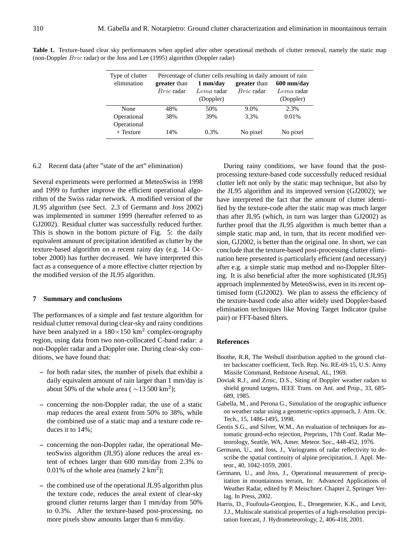| Type of clutter | Percentage of clutter cells resulting in daily amount of rain |            |                     |              |
|-----------------|---------------------------------------------------------------|------------|---------------------|--------------|
| elimination     | greater than                                                  | $1$ mm/day | <b>greater</b> than | $600$ mm/day |
|                 | <i>Bric</i> radar                                             | Lema radar | <i>Bric</i> radar   | $Lema$ radar |
|                 |                                                               | (Doppler)  |                     | (Doppler)    |
| None            | 48%                                                           | 50%        | 9.0%                | 2.3%         |
| Operational     | 38%                                                           | 39%        | 3.3%                | 0.01%        |
| Operational     |                                                               |            |                     |              |
| $+$ Texture     | 14%                                                           | $0.3\%$    | No pixel            | No pixel     |

Table 1. Texture-based clear sky performances when applied after other operational methods of clutter removal, namely the static map (non-Doppler Bric radar) or the Joss and Lee (1995) algorithm (Doppler radar)

#### 6.2 Recent data (after "state of the art" elimination)

Several experiments were performed at MeteoSwiss in 1998 and 1999 to further improve the efficient operational algorithm of the Swiss radar network. A modified version of the JL95 algorithm (see Sect. 2.3 of Germann and Joss 2002) was implemented in summer 1999 (hereafter referred to as GJ2002). Residual clutter was successfully reduced further. This is shown in the bottom picture of Fig. 5: the daily equivalent amount of precipitation identified as clutter by the texture-based algorithm on a recent rainy day (e.g. 14 October 2000) has further decreased. We have interpreted this fact as a consequence of a more effective clutter rejection by the modified version of the JL95 algorithm.

#### **7 Summary and conclusions**

The performances of a simple and fast texture algorithm for residual clutter removal during clear-sky and rainy conditions have been analyzed in a  $180\times150$  km<sup>2</sup> complex-orography region, using data from two non-collocated C-band radar: a non-Doppler radar and a Doppler one. During clear-sky conditions, we have found that:

- **–** for both radar sites, the number of pixels that exhibit a daily equivalent amount of rain larger than 1 mm/day is about 50% of the whole area ( $\sim$ 13 500 km<sup>2</sup>);
- **–** concerning the non-Doppler radar, the use of a static map reduces the areal extent from 50% to 38%, while the combined use of a static map and a texture code reduces it to 14%;
- **–** concerning the non-Doppler radar, the operational MeteoSwiss algorithm (JL95) alone reduces the areal extent of echoes larger than 600 mm/day from 2.3% to 0.01% of the whole area (namely  $2 \text{ km}^2$ );
- **–** the combined use of the operational JL95 algorithm plus the texture code, reduces the areal extent of clear-sky ground clutter returns larger than 1 mm/day from 50% to 0.3%. After the texture-based post-processing, no more pixels show amounts larger than 6 mm/day.

During rainy conditions, we have found that the postprocessing texture-based code successfully reduced residual clutter left not only by the static map technique, but also by the JL95 algorithm and its improved version (GJ2002); we have interpreted the fact that the amount of clutter identified by the texture-code after the static map was much larger than after JL95 (which, in turn was larger than GJ2002) as further proof that the JL95 algorithm is much better than a simple static map and, in turn, that its recent modified version, GJ2002, is better than the original one. In short, we can conclude that the texture-based post-processing clutter elimination here presented is particularly efficient (and necessary) after e.g. a simple static map method and no-Doppler filtering. It is also beneficial after the more sophisticated (JL95) approach implemented by MeteoSwiss, even in its recent optimised form (GJ2002). We plan to assess the efficiency of the texture-based code also after widely used Doppler-based elimination techniques like Moving Target Indicator (pulse pair) or FFT-based filters.

### **References**

- Boothe, R.R, The Weibull distribution applied to the ground clutter backscatter coefficient, Tech. Rep. No. RE-69-15, U.S. Army Missile Command, Redstone Arsenal, AL, 1969.
- Doviak R.J., and Zrnic, D.S., Siting of Doppler weather radars to shield ground targets, IEEE Trans. on Ant. and Prop., 33, 685- 689, 1985.
- Gabella, M., and Perona G., Simulation of the orographic influence on weather radar using a geometric-optics approach, J. Atm. Oc. Tech., 15, 1486-1495, 1998.
- Geotis S.G., and Silver, W.M., An evaluation of techniques for automatic ground-echo rejection, Preprints, 17th Conf. Radar Meteorology, Seattle, WA, Amer. Meteor. Soc., 448-452, 1976.
- Germann, U., and Joss, J., Variograms of radar reflectivity to describe the spatial continuity of alpine precipitation, J. Appl. Meteor., 40, 1042-1059, 2001.
- Germann, U., and Joss, J., Operational measurement of precipitation in mountainous terrain, In: Advanced Applications of Weather Radar, edited by P. Meischner. Chapter 2, Springer Verlag. In Press, 2002.
- Harris, D., Foufoula-Georgiou, E., Droegemeier, K.K., and Levit, J.J., Multiscale statistical properties of a high-resolution precipitation forecast, J. Hydrometeorology, 2, 406-418, 2001.